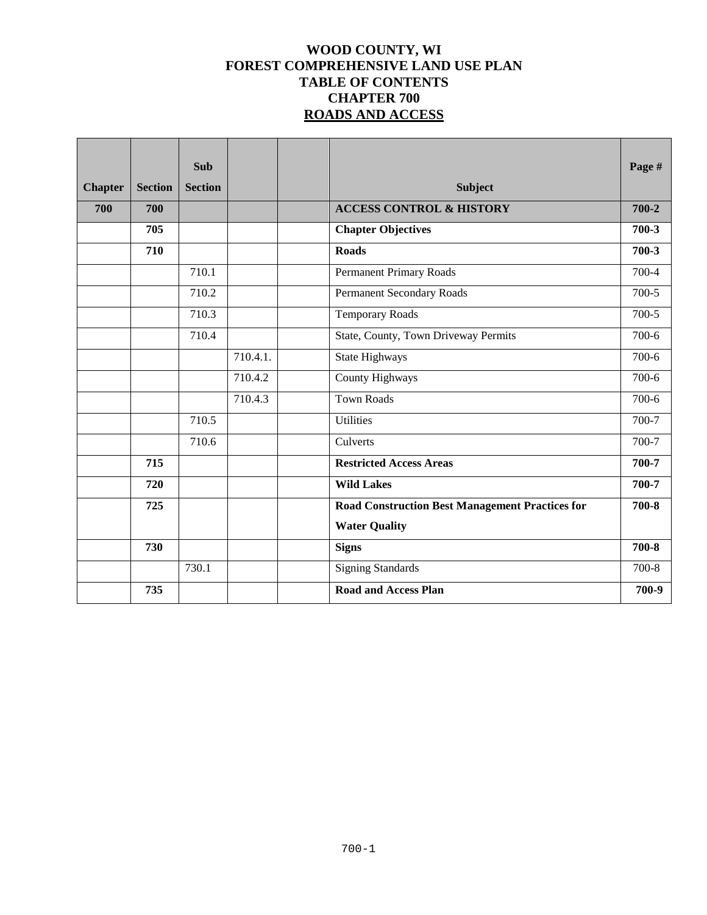# **WOOD COUNTY, WI FOREST COMPREHENSIVE LAND USE PLAN TABLE OF CONTENTS CHAPTER 700 ROADS AND ACCESS**

| <b>Chapter</b> | <b>Section</b> | <b>Sub</b><br><b>Section</b> |          | <b>Subject</b>                                         | Page #    |
|----------------|----------------|------------------------------|----------|--------------------------------------------------------|-----------|
| 700            | 700            |                              |          | <b>ACCESS CONTROL &amp; HISTORY</b>                    | $700 - 2$ |
|                | 705            |                              |          | <b>Chapter Objectives</b>                              | $700-3$   |
|                | 710            |                              |          | <b>Roads</b>                                           | $700-3$   |
|                |                | 710.1                        |          | <b>Permanent Primary Roads</b>                         | 700-4     |
|                |                | 710.2                        |          | Permanent Secondary Roads                              | $700-5$   |
|                |                | 710.3                        |          | <b>Temporary Roads</b>                                 | $700-5$   |
|                |                | 710.4                        |          | State, County, Town Driveway Permits                   | $700-6$   |
|                |                |                              | 710.4.1. | State Highways                                         | $700-6$   |
|                |                |                              | 710.4.2  | County Highways                                        | 700-6     |
|                |                |                              | 710.4.3  | <b>Town Roads</b>                                      | $700-6$   |
|                |                | 710.5                        |          | Utilities                                              | 700-7     |
|                |                | 710.6                        |          | Culverts                                               | 700-7     |
|                | 715            |                              |          | <b>Restricted Access Areas</b>                         | 700-7     |
|                | 720            |                              |          | <b>Wild Lakes</b>                                      | 700-7     |
|                | 725            |                              |          | <b>Road Construction Best Management Practices for</b> | 700-8     |
|                |                |                              |          | <b>Water Quality</b>                                   |           |
|                | 730            |                              |          | <b>Signs</b>                                           | $700 - 8$ |
|                |                | 730.1                        |          | <b>Signing Standards</b>                               | $700 - 8$ |
|                | 735            |                              |          | <b>Road and Access Plan</b>                            | 700-9     |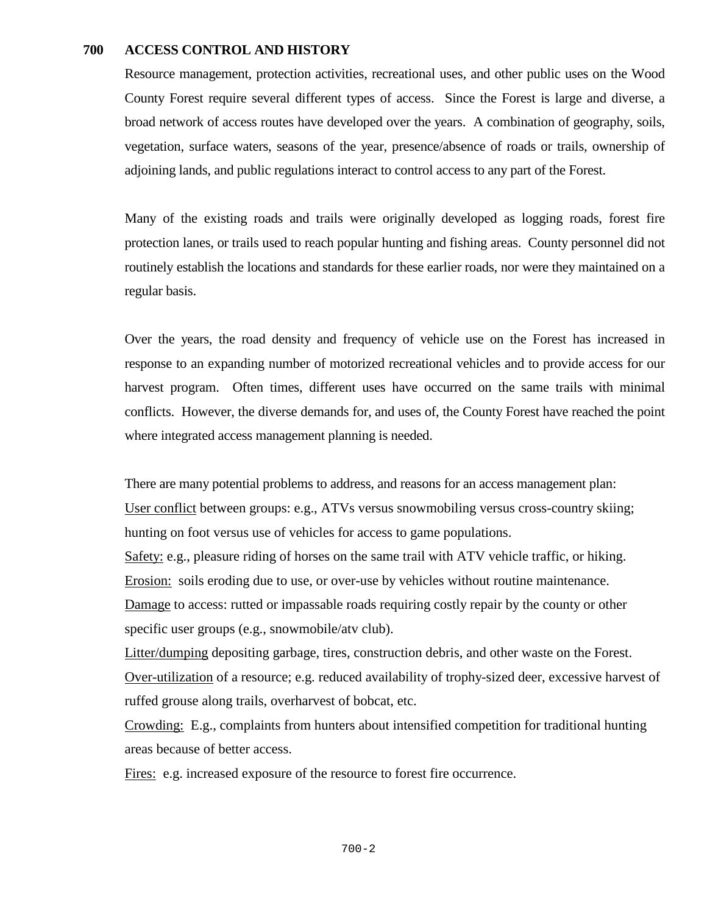### **700 ACCESS CONTROL AND HISTORY**

Resource management, protection activities, recreational uses, and other public uses on the Wood County Forest require several different types of access. Since the Forest is large and diverse, a broad network of access routes have developed over the years. A combination of geography, soils, vegetation, surface waters, seasons of the year, presence/absence of roads or trails, ownership of adjoining lands, and public regulations interact to control access to any part of the Forest.

Many of the existing roads and trails were originally developed as logging roads, forest fire protection lanes, or trails used to reach popular hunting and fishing areas. County personnel did not routinely establish the locations and standards for these earlier roads, nor were they maintained on a regular basis.

Over the years, the road density and frequency of vehicle use on the Forest has increased in response to an expanding number of motorized recreational vehicles and to provide access for our harvest program. Often times, different uses have occurred on the same trails with minimal conflicts. However, the diverse demands for, and uses of, the County Forest have reached the point where integrated access management planning is needed.

There are many potential problems to address, and reasons for an access management plan: User conflict between groups: e.g., ATVs versus snowmobiling versus cross-country skiing; hunting on foot versus use of vehicles for access to game populations. Safety: e.g., pleasure riding of horses on the same trail with ATV vehicle traffic, or hiking. Erosion: soils eroding due to use, or over-use by vehicles without routine maintenance.

Damage to access: rutted or impassable roads requiring costly repair by the county or other specific user groups (e.g., snowmobile/atv club).

Litter/dumping depositing garbage, tires, construction debris, and other waste on the Forest. Over-utilization of a resource; e.g. reduced availability of trophy-sized deer, excessive harvest of ruffed grouse along trails, overharvest of bobcat, etc.

Crowding: E.g., complaints from hunters about intensified competition for traditional hunting areas because of better access.

Fires: e.g. increased exposure of the resource to forest fire occurrence.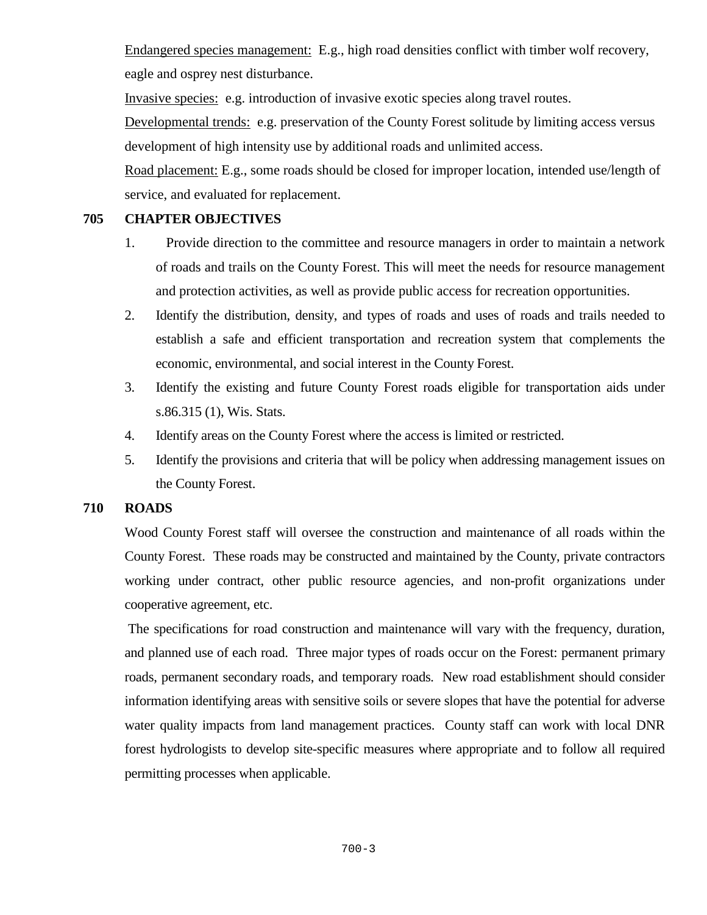Endangered species management: E.g., high road densities conflict with timber wolf recovery, eagle and osprey nest disturbance.

Invasive species: e.g. introduction of invasive exotic species along travel routes.

Developmental trends: e.g. preservation of the County Forest solitude by limiting access versus development of high intensity use by additional roads and unlimited access.

Road placement: E.g., some roads should be closed for improper location, intended use/length of service, and evaluated for replacement.

# **705 CHAPTER OBJECTIVES**

- 1. Provide direction to the committee and resource managers in order to maintain a network of roads and trails on the County Forest. This will meet the needs for resource management and protection activities, as well as provide public access for recreation opportunities.
- 2. Identify the distribution, density, and types of roads and uses of roads and trails needed to establish a safe and efficient transportation and recreation system that complements the economic, environmental, and social interest in the County Forest.
- 3. Identify the existing and future County Forest roads eligible for transportation aids under s.86.315 (1), Wis. Stats.
- 4. Identify areas on the County Forest where the access is limited or restricted.
- 5. Identify the provisions and criteria that will be policy when addressing management issues on the County Forest.

# **710 ROADS**

Wood County Forest staff will oversee the construction and maintenance of all roads within the County Forest. These roads may be constructed and maintained by the County, private contractors working under contract, other public resource agencies, and non-profit organizations under cooperative agreement, etc.

The specifications for road construction and maintenance will vary with the frequency, duration, and planned use of each road. Three major types of roads occur on the Forest: permanent primary roads, permanent secondary roads, and temporary roads*.* New road establishment should consider information identifying areas with sensitive soils or severe slopes that have the potential for adverse water quality impacts from land management practices. County staff can work with local DNR forest hydrologists to develop site-specific measures where appropriate and to follow all required permitting processes when applicable.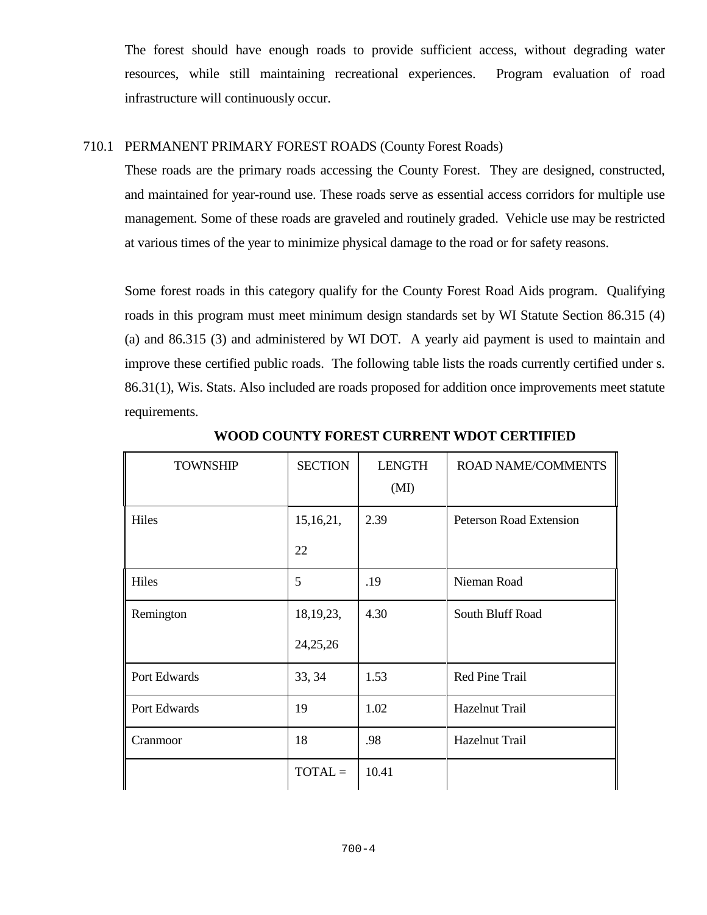The forest should have enough roads to provide sufficient access, without degrading water resources, while still maintaining recreational experiences. Program evaluation of road infrastructure will continuously occur.

## 710.1 PERMANENT PRIMARY FOREST ROADS (County Forest Roads)

These roads are the primary roads accessing the County Forest. They are designed, constructed, and maintained for year-round use. These roads serve as essential access corridors for multiple use management. Some of these roads are graveled and routinely graded. Vehicle use may be restricted at various times of the year to minimize physical damage to the road or for safety reasons.

Some forest roads in this category qualify for the County Forest Road Aids program. Qualifying roads in this program must meet minimum design standards set by WI Statute Section 86.315 (4) (a) and 86.315 (3) and administered by WI DOT. A yearly aid payment is used to maintain and improve these certified public roads. The following table lists the roads currently certified under s. 86.31(1), Wis. Stats. Also included are roads proposed for addition once improvements meet statute requirements.

| <b>TOWNSHIP</b> | <b>SECTION</b> | <b>LENGTH</b><br>(MI) | <b>ROAD NAME/COMMENTS</b>      |
|-----------------|----------------|-----------------------|--------------------------------|
| Hiles           | 15,16,21,      | 2.39                  | <b>Peterson Road Extension</b> |
|                 | 22             |                       |                                |
| Hiles           | 5              | .19                   | Nieman Road                    |
| Remington       | 18, 19, 23,    | 4.30                  | South Bluff Road               |
|                 | 24,25,26       |                       |                                |
| Port Edwards    | 33, 34         | 1.53                  | Red Pine Trail                 |
| Port Edwards    | 19             | 1.02                  | Hazelnut Trail                 |
| Cranmoor        | 18             | .98                   | Hazelnut Trail                 |
|                 | $TOTAL =$      | 10.41                 |                                |

**WOOD COUNTY FOREST CURRENT WDOT CERTIFIED**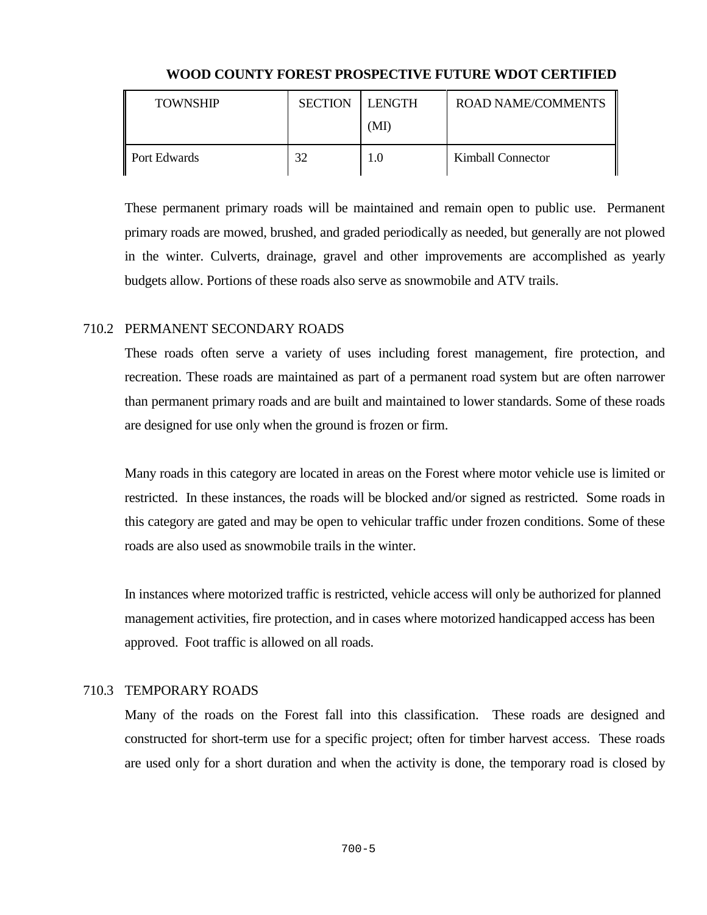| <b>TOWNSHIP</b> | <b>SECTION</b> | LENGTH | ROAD NAME/COMMENTS |
|-----------------|----------------|--------|--------------------|
|                 |                | (MI)   |                    |
| Port Edwards    | 32             | 0.1    | Kimball Connector  |

## **WOOD COUNTY FOREST PROSPECTIVE FUTURE WDOT CERTIFIED**

These permanent primary roads will be maintained and remain open to public use. Permanent primary roads are mowed, brushed, and graded periodically as needed, but generally are not plowed in the winter. Culverts, drainage, gravel and other improvements are accomplished as yearly budgets allow. Portions of these roads also serve as snowmobile and ATV trails.

## 710.2 PERMANENT SECONDARY ROADS

These roads often serve a variety of uses including forest management, fire protection, and recreation. These roads are maintained as part of a permanent road system but are often narrower than permanent primary roads and are built and maintained to lower standards. Some of these roads are designed for use only when the ground is frozen or firm.

Many roads in this category are located in areas on the Forest where motor vehicle use is limited or restricted. In these instances, the roads will be blocked and/or signed as restricted. Some roads in this category are gated and may be open to vehicular traffic under frozen conditions. Some of these roads are also used as snowmobile trails in the winter.

In instances where motorized traffic is restricted, vehicle access will only be authorized for planned management activities, fire protection, and in cases where motorized handicapped access has been approved. Foot traffic is allowed on all roads.

# 710.3 TEMPORARY ROADS

Many of the roads on the Forest fall into this classification. These roads are designed and constructed for short-term use for a specific project; often for timber harvest access. These roads are used only for a short duration and when the activity is done, the temporary road is closed by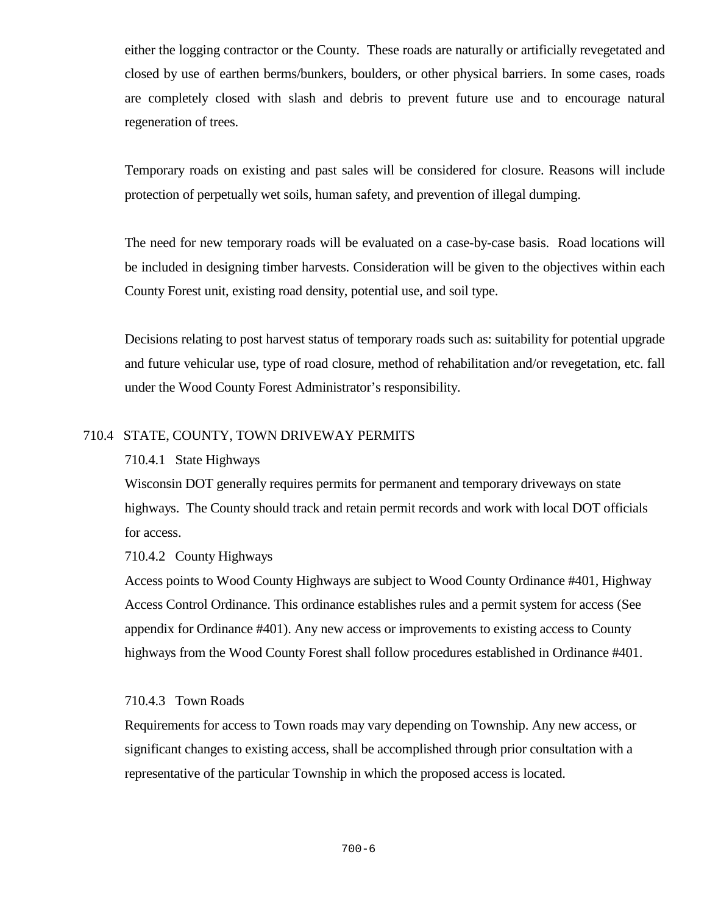either the logging contractor or the County. These roads are naturally or artificially revegetated and closed by use of earthen berms/bunkers, boulders, or other physical barriers. In some cases, roads are completely closed with slash and debris to prevent future use and to encourage natural regeneration of trees.

Temporary roads on existing and past sales will be considered for closure. Reasons will include protection of perpetually wet soils, human safety, and prevention of illegal dumping.

The need for new temporary roads will be evaluated on a case-by-case basis. Road locations will be included in designing timber harvests. Consideration will be given to the objectives within each County Forest unit, existing road density, potential use, and soil type.

Decisions relating to post harvest status of temporary roads such as: suitability for potential upgrade and future vehicular use, type of road closure, method of rehabilitation and/or revegetation, etc. fall under the Wood County Forest Administrator's responsibility.

## 710.4 STATE, COUNTY, TOWN DRIVEWAY PERMITS

### 710.4.1 State Highways

Wisconsin DOT generally requires permits for permanent and temporary driveways on state highways. The County should track and retain permit records and work with local DOT officials for access.

### 710.4.2 County Highways

Access points to Wood County Highways are subject to Wood County Ordinance #401, Highway Access Control Ordinance. This ordinance establishes rules and a permit system for access (See appendix for Ordinance #401). Any new access or improvements to existing access to County highways from the Wood County Forest shall follow procedures established in Ordinance #401.

### 710.4.3 Town Roads

Requirements for access to Town roads may vary depending on Township. Any new access, or significant changes to existing access, shall be accomplished through prior consultation with a representative of the particular Township in which the proposed access is located.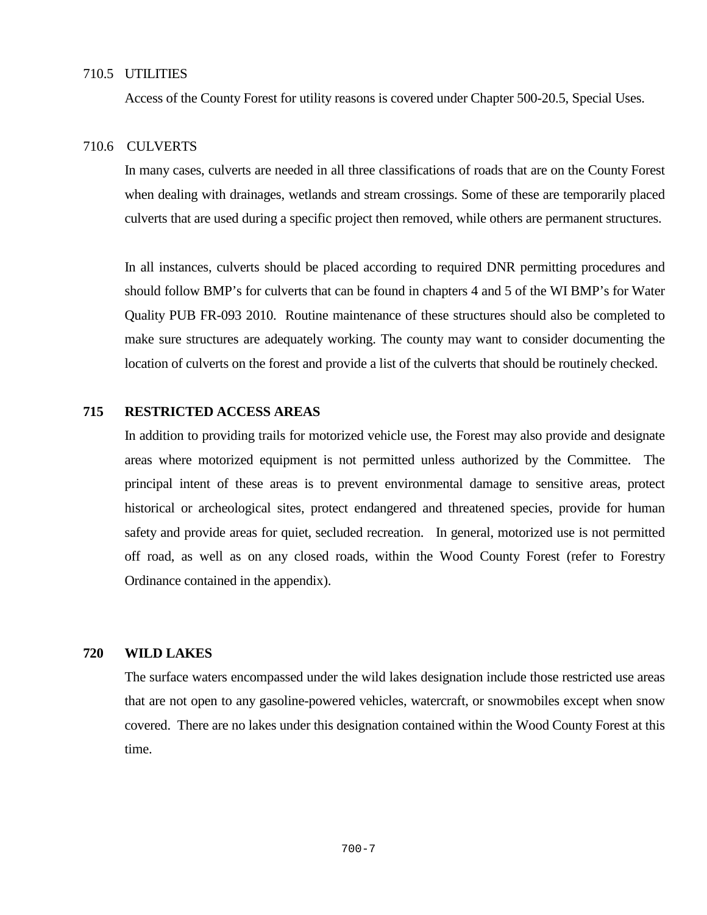#### 710.5 UTILITIES

Access of the County Forest for utility reasons is covered under Chapter 500-20.5, Special Uses.

### 710.6 CULVERTS

In many cases, culverts are needed in all three classifications of roads that are on the County Forest when dealing with drainages, wetlands and stream crossings. Some of these are temporarily placed culverts that are used during a specific project then removed, while others are permanent structures.

In all instances, culverts should be placed according to required DNR permitting procedures and should follow BMP's for culverts that can be found in chapters 4 and 5 of the WI BMP's for Water Quality PUB FR-093 2010. Routine maintenance of these structures should also be completed to make sure structures are adequately working. The county may want to consider documenting the location of culverts on the forest and provide a list of the culverts that should be routinely checked.

#### **715 RESTRICTED ACCESS AREAS**

In addition to providing trails for motorized vehicle use, the Forest may also provide and designate areas where motorized equipment is not permitted unless authorized by the Committee. The principal intent of these areas is to prevent environmental damage to sensitive areas, protect historical or archeological sites, protect endangered and threatened species, provide for human safety and provide areas for quiet, secluded recreation. In general, motorized use is not permitted off road, as well as on any closed roads, within the Wood County Forest (refer to Forestry Ordinance contained in the appendix).

#### **720 WILD LAKES**

The surface waters encompassed under the wild lakes designation include those restricted use areas that are not open to any gasoline-powered vehicles, watercraft, or snowmobiles except when snow covered. There are no lakes under this designation contained within the Wood County Forest at this time.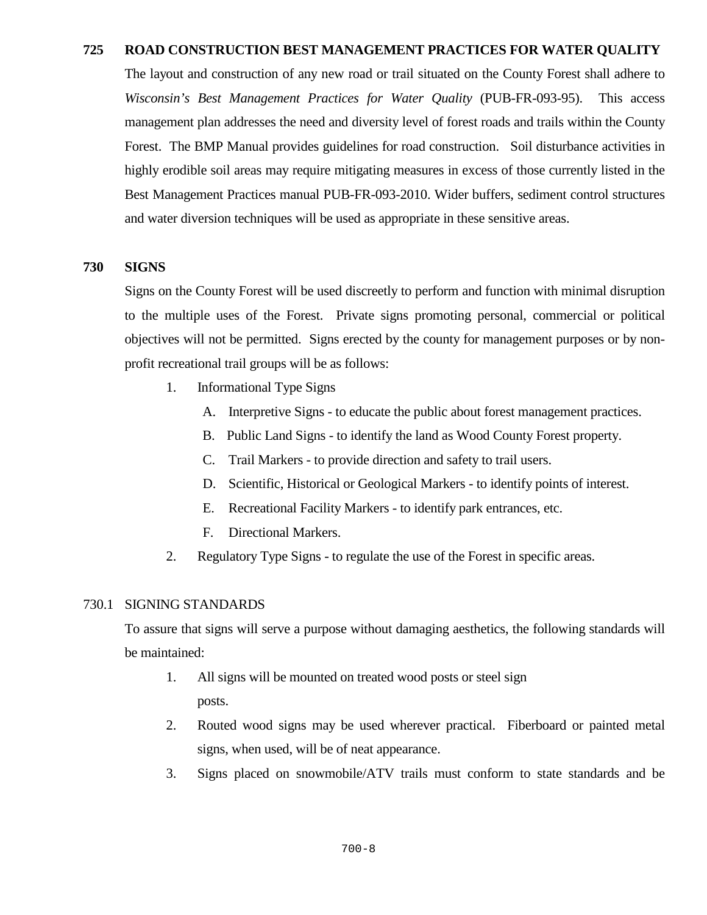### **725 ROAD CONSTRUCTION BEST MANAGEMENT PRACTICES FOR WATER QUALITY**

The layout and construction of any new road or trail situated on the County Forest shall adhere to *Wisconsin's Best Management Practices for Water Quality* (PUB-FR-093-95). This access management plan addresses the need and diversity level of forest roads and trails within the County Forest. The BMP Manual provides guidelines for road construction. Soil disturbance activities in highly erodible soil areas may require mitigating measures in excess of those currently listed in the Best Management Practices manual PUB-FR-093-2010. Wider buffers, sediment control structures and water diversion techniques will be used as appropriate in these sensitive areas.

### **730 SIGNS**

Signs on the County Forest will be used discreetly to perform and function with minimal disruption to the multiple uses of the Forest. Private signs promoting personal, commercial or political objectives will not be permitted. Signs erected by the county for management purposes or by nonprofit recreational trail groups will be as follows:

- 1. Informational Type Signs
	- A. Interpretive Signs to educate the public about forest management practices.
	- B. Public Land Signs to identify the land as Wood County Forest property.
	- C. Trail Markers to provide direction and safety to trail users.
	- D. Scientific, Historical or Geological Markers to identify points of interest.
	- E. Recreational Facility Markers to identify park entrances, etc.
	- F. Directional Markers.
- 2. Regulatory Type Signs to regulate the use of the Forest in specific areas.

#### 730.1 SIGNING STANDARDS

To assure that signs will serve a purpose without damaging aesthetics, the following standards will be maintained:

- 1. All signs will be mounted on treated wood posts or steel sign posts.
- 2. Routed wood signs may be used wherever practical. Fiberboard or painted metal signs, when used, will be of neat appearance.
- 3. Signs placed on snowmobile/ATV trails must conform to state standards and be